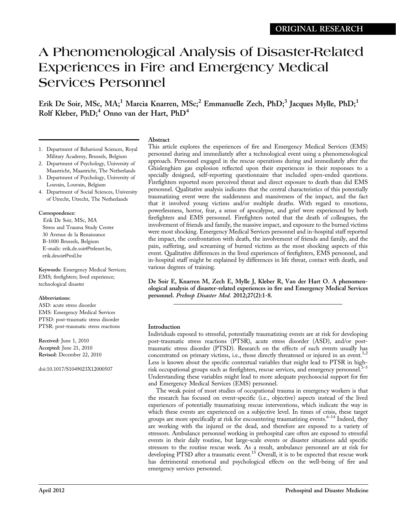# A Phenomenological Analysis of Disaster-Related Experiences in Fire and Emergency Medical Services Personnel

Erik De Soir, MSc, MA;<sup>1</sup> Marcia Knarren, MSc;<sup>2</sup> Emmanuelle Zech, PhD;<sup>3</sup> Jacques Mylle, PhD;<sup>1</sup> Rolf Kleber, PhD;<sup>4</sup> Onno van der Hart, PhD<sup>4</sup>

1. Department of Behavioral Sciences, Royal

# Abstract

This article explores the experiences of fire and Emergency Medical Services (EMS) personnel during and immediately after a technological event using a phenomenological approach. Personnel engaged in the rescue operations during and immediately after the Ghislenghien gas explosion reflected upon their experiences in their responses to a specially designed, self-reporting questionnaire that included open-ended questions. Firefighters reported more perceived threat and direct exposure to death than did EMS personnel. Qualitative analysis indicates that the central characteristics of this potentially traumatizing event were the suddenness and massiveness of the impact, and the fact that it involved young victims and/or multiple deaths. With regard to emotions, powerlessness, horror, fear, a sense of apocalypse, and grief were experienced by both firefighters and EMS personnel. Firefighters noted that the death of colleagues, the involvement of friends and family, the massive impact, and exposure to the burned victims were most shocking. Emergency Medical Services personnel and in-hospital staff reported the impact, the confrontation with death, the involvement of friends and family, and the pain, suffering, and screaming of burned victims as the most shocking aspects of this event. Qualitative differences in the lived experiences of firefighters, EMS personnel, and in-hospital staff might be explained by differences in life threat, contact with death, and various degrees of training.

De Soir E, Knarren M, Zech E, Mylle J, Kleber R, Van der Hart O. A phenomenological analysis of disaster-related experiences in fire and Emergency Medical Services personnel. Prehosp Disaster Med. 2012;27(2):1-8.

# Introduction

Individuals exposed to stressful, potentially traumatizing events are at risk for developing post-traumatic stress reactions (PTSR), acute stress disorder (ASD), and/or posttraumatic stress disorder (PTSD). Research on the effects of such events usually has concentrated on primary victims, i.e., those directly threatened or injured in an event.<sup>1,2</sup> Less is known about the specific contextual variables that might lead to PTSR in highrisk occupational groups such as firefighters, rescue services, and emergency personnel. $3-5$ Understanding these variables might lead to more adequate psychosocial support for fire and Emergency Medical Services (EMS) personnel.

The weak point of most studies of occupational trauma in emergency workers is that the research has focused on event-specific (i.e., objective) aspects instead of the lived experiences of potentially traumatizing rescue interventions, which indicate the way in which these events are experienced on a subjective level. In times of crisis, these target groups are more specifically at risk for encountering traumatizing events.<sup>6-14</sup> Indeed, they are working with the injured or the dead, and therefore are exposed to a variety of stressors. Ambulance personnel working in prehospital care often are exposed to stressful events in their daily routine, but large-scale events or disaster situations add specific stressors to the routine rescue work. As a result, ambulance personnel are at risk for developing PTSD after a traumatic event.<sup>15</sup> Overall, it is to be expected that rescue work has detrimental emotional and psychological effects on the well-being of fire and emergency services personnel.

- Military Academy, Brussels, Belgium
- 2. Department of Psychology, University of Maastricht, Maastricht, The Netherlands
- 3. Department of Psychology, University of Louvain, Louvain, Belgium
- 4. Department of Social Sciences, University of Utrecht, Utrecht, The Netherlands

# Correspondence:

Erik De Soir, MSc, MA Stress and Trauma Study Center 30 Avenue de la Renaissance B-1000 Brussels, Belgium E-mails: erik.de.soir@telenet.be, erik.desoir@mil.be

Keywords: Emergency Medical Services; EMS; firefighters; lived experience; technological disaster

## Abbreviations:

ASD: acute stress disorder EMS: Emergency Medical Services PTSD: post-traumatic stress disorder PTSR: post-traumatic stress reactions

Received: June 1, 2010 Accepted: June 21, 2010 Revised: December 22, 2010

doi:10.1017/S1049023X12000507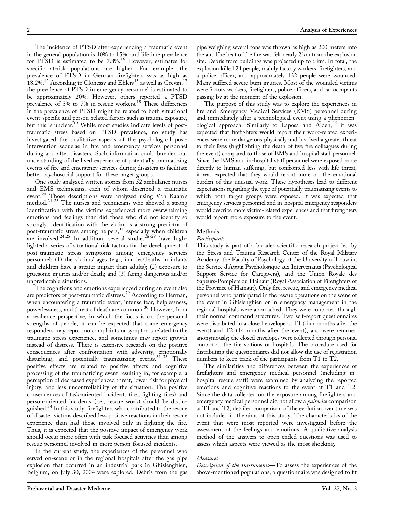The incidence of PTSD after experiencing a traumatic event in the general population is 10% to 15%, and lifetime prevalence for PTSD is estimated to be 7.8%.<sup>16</sup> However, estimates for specific at-risk populations are higher. For example, the prevalence of PTSD in German firefighters was as high as 18.2%.<sup>12</sup> According to Clohessy and Ehlers<sup>15</sup> as well as Grevin,<sup>17</sup> the prevalence of PTSD in emergency personnel is estimated to be approximately 20%. However, others reported a PTSD prevalence of 3% to 7% in rescue workers.18 These differences in the prevalence of PTSD might be related to both situational event-specific and person-related factors such as trauma exposure, but this is unclear.<sup>19</sup> While most studies indicate levels of posttraumatic stress based on PTSD prevalence, no study has investigated the qualitative aspects of the psychological postintervention sequelae in fire and emergency services personnel during and after disasters. Such information could broaden our understanding of the lived experience of potentially traumatizing events of fire and emergency services during disasters to facilitate better psychosocial support for these target groups.

One study analyzed written stories from 52 ambulance nurses and EMS technicians, each of whom described a traumatic event.<sup>20</sup> Those descriptions were analyzed using Van Kaam's method.21-23 The nurses and technicians who showed a strong identification with the victims experienced more overwhelming emotions and feelings than did those who did not identify so strongly. Identification with the victim is a strong predictor of post-traumatic stress among helpers,<sup>11</sup> especially when children are involved.<sup>24,25</sup> In addition, several studies<sup>26-28</sup> have highlighted a series of situational risk factors for the development of post-traumatic stress symptoms among emergency services personnel: (1) the victims' ages (e.g., injuries/deaths in infants and children have a greater impact than adults); (2) exposure to gruesome injuries and/or death; and (3) facing dangerous and/or unpredictable situations.

The cognitions and emotions experienced during an event also are predictors of post-traumatic distress.<sup>29</sup> According to Herman, when encountering a traumatic event, intense fear, helplessness, powerlessness, and threat of death are common.<sup>30</sup> However, from a resilience perspective, in which the focus is on the personal strengths of people, it can be expected that some emergency responders may report no complaints or symptoms related to the traumatic stress experience, and sometimes may report growth instead of distress. There is extensive research on the positive consequences after confrontation with adversity, emotionally disturbing, and potentially traumatizing events.<sup>31-33</sup> These positive effects are related to positive affects and cognitive processing of the traumatizing event resulting in, for example, a perception of decreased experienced threat, lower risk for physical injury, and less uncontrollability of the situation. The positive consequences of task-oriented incidents (i.e., fighting fires) and person-oriented incidents (i.e., rescue work) should be distinguished.<sup>34</sup> In this study, firefighters who contributed to the rescue of disaster victims described less positive reactions in their rescue experience than had those involved only in fighting the fire. Thus, it is expected that the positive impact of emergency work should occur more often with task-focused activities than among rescue personnel involved in more person-focused incidents.

In the current study, the experiences of the personnel who served on-scene or in the regional hospitals after the gas pipe explosion that occurred in an industrial park in Ghislenghien, Belgium, on July 30, 2004 were explored. Debris from the gas

pipe weighing several tons was thrown as high as 200 meters into the air. The heat of the fire was felt nearly 2 km from the explosion site. Debris from buildings was projected up to 6 km. In total, the explosion killed 24 people, mainly factory workers, firefighters, and a police officer, and approximately 132 people were wounded. Many suffered severe burn injuries. Most of the wounded victims were factory workers, firefighters, police officers, and car occupants passing by at the moment of the explosion.

The purpose of this study was to explore the experiences in fire and Emergency Medical Services (EMS) personnel during and immediately after a technological event using a phenomenological approach. Similarly to Laposa and Alden,<sup>35</sup> it was expected that firefighters would report their work-related experiences were more dangerous physically and involved a greater threat to their lives (highlighting the death of five fire colleagues during the event) compared to those of EMS and hospital staff personnel. Since the EMS and in-hospital staff personnel were exposed more directly to human suffering, but confronted less with life threat, it was expected that they would report more on the emotional burden of this unusual work. These hypotheses lead to different expectations regarding the type of potentially traumatizing events to which both target groups were exposed. It was expected that emergency services personnel and in-hospital emergency responders would describe more victim-related experiences and that firefighters would report more exposure to the event.

#### Methods

#### Participants

This study is part of a broader scientific research project led by the Stress and Trauma Research Center of the Royal Military Academy, the Faculty of Psychology of the University of Louvain, the Service d'Appui Psychologique aux Intervenants (Psychological Support Service for Caregivers), and the Union Royale des Sapeurs-Pompiers du Hainaut (Royal Association of Firefighters of the Province of Hainaut). Only fire, rescue, and emergency medical personnel who participated in the rescue operations on the scene of the event in Ghislenghien or in emergency management in the regional hospitals were approached. They were contacted through their normal command structures. Two self-report questionnaires were distributed in a closed envelope at T1 (four months after the event) and T2 (14 months after the event), and were returned anonymously; the closed envelopes were collected through personal contact at the fire stations or hospitals. The procedure used for distributing the questionnaires did not allow the use of registration numbers to keep track of the participants from T1 to T2.

The similarities and differences between the experiences of firefighters and emergency medical personnel (including inhospital rescue staff) were examined by analyzing the reported emotions and cognitive reactions to the event at T1 and T2. Since the data collected on the exposure among firefighters and emergency medical personnel did not allow a *pairwise* comparison at T1 and T2, detailed comparison of the evolution over time was not included in the aims of this study. The characteristics of the event that were most reported were investigated before the assessment of the feelings and emotions. A qualitative analysis method of the answers to open-ended questions was used to assess which aspects were viewed as the most shocking.

#### Measures

Description of the Instruments–To assess the experiences of the above-mentioned populations, a questionnaire was designed to fit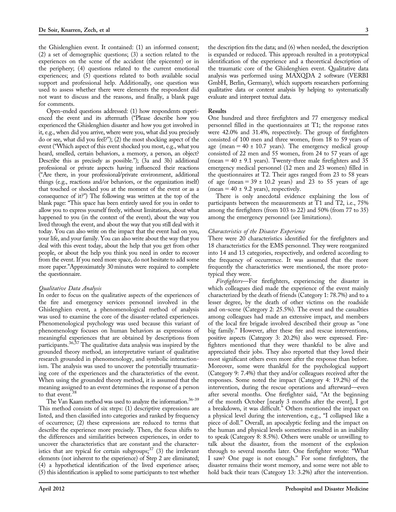the Ghislenghien event. It contained: (1) an informed consent; (2) a set of demographic questions; (3) a section related to the experiences on the scene of the accident (the epicenter) or in the periphery; (4) questions related to the current emotional experiences; and (5) questions related to both available social support and professional help. Additionally, one question was used to assess whether there were elements the respondent did not want to discuss and the reasons, and finally, a blank page for comments.

Open-ended questions addressed: (1) how respondents experienced the event and its aftermath (''Please describe how you experienced the Ghislenghien disaster and how you got involved in it, e.g., when did you arrive, where were you, what did you precisely do or see, what did you feel?''); (2) the most shocking aspect of the event (''Which aspect of this event shocked you most, e.g., what you heard, smelled, certain behaviors, a memory, a person, an object? Describe this as precisely as possible.''); (3a and 3b) additional professional or private aspects having influenced their reactions (''Are there, in your professional/private environment, additional things (e.g., reactions and/or behaviors, or the organization itself) that touched or shocked you at the moment of the event or as a consequence of it?'') The following was written at the top of the blank page: ''This space has been entirely saved for you in order to allow you to express yourself freely, without limitations, about what happened to you (in the context of the event), about the way you lived through the event, and about the way that you still deal with it today. You can also write on the impact that the event had on you, your life, and your family. You can also write about the way that you deal with this event today, about the help that you get from other people, or about the help you think you need in order to recover from the event. If you need more space, do not hesitate to add some more paper.''Approximately 30 minutes were required to complete the questionnaire.

## Qualitative Data Analysis

In order to focus on the qualitative aspects of the experiences of the fire and emergency services personnel involved in the Ghislenghien event, a phenomenological method of analysis was used to examine the core of the disaster-related experiences. Phenomenological psychology was used because this variant of phenomenology focuses on human behaviors as expressions of meaningful experiences that are obtained by descriptions from participants.36,37 The qualitative data analysis was inspired by the grounded theory method, an interpretative variant of qualitative research grounded in phenomenology, and symbolic interactionism. The analysis was used to uncover the potentially traumatizing core of the experiences and the characteristics of the event. When using the grounded theory method, it is assumed that the meaning assigned to an event determines the response of a person to that event.<sup>38</sup>

The Van Kaam method was used to analyze the information.<sup>36-39</sup> This method consists of six steps: (1) descriptive expressions are listed, and then classified into categories and ranked by frequency of occurrence; (2) these expressions are reduced to terms that describe the experience more precisely. Then, the focus shifts to the differences and similarities between experiences, in order to uncover the characteristics that are constant and the characteristics that are typical for certain subgroups;  $37$  (3) the irrelevant elements (not inherent to the experience) of Step 2 are eliminated; (4) a hypothetical identification of the lived experience arises; (5) this identification is applied to some participants to test whether

the description fits the data; and (6) when needed, the description is expanded or reduced. This approach resulted in a prototypical identification of the experience and a theoretical description of the traumatic core of the Ghislenghien event. Qualitative data analysis was performed using MAXQDA 2 software (VERBI GmbH, Berlin, Germany), which supports researchers performing qualitative data or content analysis by helping to systematically evaluate and interpret textual data.

#### Results

One hundred and three firefighters and 77 emergency medical personnel filled in the questionnaires at T1; the response rates were 42.0% and 31.4%, respectively. The group of firefighters consisted of 100 men and three women, from 18 to 59 years of age (mean  $= 40 \pm 10.7$  years). The emergency medical group consisted of 22 men and 55 women, from 24 to 57 years of age (mean =  $40 \pm 9.1$  years). Twenty-three male firefighters and 35 emergency medical personnel (12 men and 23 women) filled in the questionnaires at T2. Their ages ranged from 23 to 58 years of age (mean =  $39 \pm 10.2$  years) and 23 to 55 years of age (mean =  $40 \pm 9.2$  years), respectively.

There is only anecdotal evidence explaining the loss of participants between the measurements at T1 and T2, i.e., 75% among the firefighters (from 103 to 22) and 50% (from 77 to 35) among the emergency personnel (see limitations).

#### Characteristics of the Disaster Experience

There were 20 characteristics identified for the firefighters and 18 characteristics for the EMS personnel. They were reorganized into 14 and 13 categories, respectively, and ordered according to the frequency of occurrence. It was assumed that the more frequently the characteristics were mentioned, the more prototypical they were.

Firefighters—For firefighters, experiencing the disaster in which colleagues died made the experience of the event mainly characterized by the death of friends (Category 1: 78.7%) and to a lesser degree, by the death of other victims on the roadside and on-scene (Category 2: 25.5%). The event and the casualties among colleagues had made an extensive impact, and members of the local fire brigade involved described their group as ''one big family.'' However, after these fire and rescue interventions, positive aspects (Category 3: 20.2%) also were expressed. Firefighters mentioned that they were thankful to be alive and appreciated their jobs. They also reported that they loved their most significant others even more after the response than before. Moreover, some were thankful for the psychological support (Category 9: 7.4%) that they and/or colleagues received after the responses. Some noted the impact (Category 4: 19.2%) of the intervention, during the rescue operations and afterward—even after several months. One firefighter said, ''At the beginning of the month October [nearly 3 months after the event], I got a breakdown, it was difficult.'' Others mentioned the impact on a physical level during the intervention, e.g., "I collapsed like a piece of doll.'' Overall, an apocalyptic feeling and the impact on the human and physical levels sometimes resulted in an inability to speak (Category 8: 8.5%). Others were unable or unwilling to talk about the disaster, from the moment of the explosion through to several months later. One firefighter wrote: ''What I saw? One page is not enough.'' For some firefighters, the disaster remains their worst memory, and some were not able to hold back their tears (Category 13: 3.2%) after the intervention.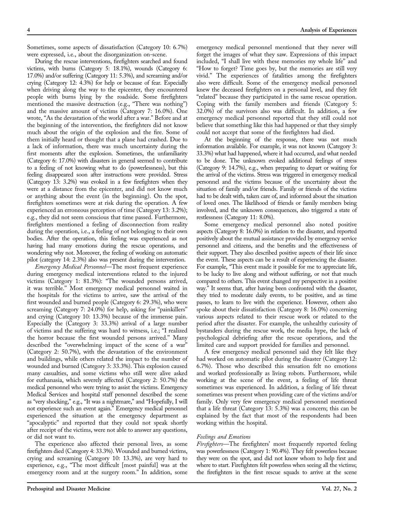Sometimes, some aspects of dissatisfaction (Category 10: 6.7%) were expressed, i.e., about the disorganization on-scene.

During the rescue interventions, firefighters searched and found victims, with burns (Category 5: 18.1%), wounds (Category 6: 17.0%) and/or suffering (Category 11: 5.3%), and screaming and/or crying (Category 12: 4.3%) for help or because of fear. Especially when driving along the way to the epicenter, they encountered people with burns lying by the roadside. Some firefighters mentioned the massive destruction (e.g., ''There was nothing'') and the massive amount of victims (Category 7: 16.0%). One wrote, "As the devastation of the world after a war." Before and at the beginning of the intervention, the firefighters did not know much about the origin of the explosion and the fire. Some of them initially heard or thought that a plane had crashed. Due to a lack of information, there was much uncertainty during the first moments after the explosion. Sometimes, the unfamiliarity (Category 6: 17.0%) with disasters in general seemed to contribute to a feeling of not knowing what to do (powerlessness), but this feeling disappeared soon after instructions were provided. Stress (Category 13: 3.2%) was evoked in a few firefighters when they were at a distance from the epicenter, and did not know much or anything about the event (in the beginning). On the spot, firefighters sometimes were at risk during the operation. A few experienced an erroneous perception of time (Category 13: 3.2%); e.g., they did not seem conscious that time passed. Furthermore, firefighters mentioned a feeling of disconnection from reality during the operation, i.e., a feeling of not belonging to their own bodies. After the operation, this feeling was experienced as not having had many emotions during the rescue operations, and wondering why not. Moreover, the feeling of working on automatic pilot (category 14: 2.3%) also was present during the intervention.

Emergency Medical Personnel—The most frequent experience during emergency medical interventions related to the injured victims (Category 1: 81.3%): ''The wounded persons arrived, it was terrible.'' Most emergency medical personnel waited in the hospitals for the victims to arrive, saw the arrival of the first wounded and burned people (Category 6: 29.3%), who were screaming (Category 7: 24.0%) for help, asking for "painkillers" and crying (Category 10: 13.3%) because of the immense pain. Especially the (Category 3: 33.3%) arrival of a large number of victims and the suffering was hard to witness, i.e.; ''I realized the horror because the first wounded persons arrived.'' Many described the ''overwhelming impact of the scene of a war'' (Category 2: 50.7%), with the devastation of the environment and buildings, while others related the impact to the number of wounded and burned (Category 3: 33.3%). This explosion caused many casualties, and some victims who still were alive asked for euthanasia, which severely affected (Category 2: 50.7%) the medical personnel who were trying to assist the victims. Emergency Medical Services and hospital staff personnel described the scene as ''very shocking,'' e.g., ''It was a nightmare,'' and ''Hopefully, I will not experience such an event again.'' Emergency medical personnel experienced the situation at the emergency department as "apocalyptic" and reported that they could not speak shortly after receipt of the victims, were not able to answer any questions, or did not want to.

The experience also affected their personal lives, as some firefighters died (Category 4: 33.3%). Wounded and burned victims, crying and screaming (Category 10: 13.3%), are very hard to experience, e.g., ''The most difficult [most painful] was at the emergency room and at the surgery room.'' In addition, some

emergency medical personnel mentioned that they never will forget the images of what they saw. Expressions of this impact included, ''I shall live with these memories my whole life'' and "How to forget? Time goes by, but the memories are still very vivid.'' The experiences of fatalities among the firefighters also were difficult. Some of the emergency medical personnel knew the deceased firefighters on a personal level, and they felt ''related'' because they participated in the same rescue operation. Coping with the family members and friends (Category 5: 32.0%) of the survivors also was difficult. In addition, a few emergency medical personnel reported that they still could not believe that something like this had happened or that they simply could not accept that some of the firefighters had died.

At the beginning of the response, there was not much information available. For example, it was not known (Category 3: 33.3%) what had happened, where it had occurred, and what needed to be done. The unknown evoked additional feelings of stress (Category 9: 14.7%), e.g., when preparing to depart or waiting for the arrival of the victims. Stress was triggered in emergency medical personnel and the victims because of the uncertainty about the situation of family and/or friends. Family or friends of the victims had to be dealt with, taken care of, and informed about the situation of loved ones. The likelihood of friends or family members being involved, and the unknown consequences, also triggered a state of restlessness (Category 11: 8.0%).

Some emergency medical personnel also noted positive aspects (Category 8: 16.0%) in relation to the disaster, and reported positively about the mutual assistance provided by emergency service personnel and citizens, and the benefits and the effectiveness of their support. They also described positive aspects of their life since the event. These aspects can be a result of experiencing the disaster. For example, "This event made it possible for me to appreciate life, to be lucky to live along and without suffering, or not that much compared to others. This event changed my perspective in a positive way.'' It seems that, after having been confronted with the disaster, they tried to moderate daily events, to be positive, and as time passes, to learn to live with the experience. However, others also spoke about their dissatisfaction (Category 8: 16.0%) concerning various aspects related to their rescue work or related to the period after the disaster. For example, the unhealthy curiosity of bystanders during the rescue work, the media hype, the lack of psychological debriefing after the rescue operations, and the limited care and support provided for families and personnel.

A few emergency medical personnel said they felt like they had worked on automatic pilot during the disaster (Category 12: 6.7%). Those who described this sensation felt no emotions and worked professionally as living robots. Furthermore, while working at the scene of the event, a feeling of life threat sometimes was experienced. In addition, a feeling of life threat sometimes was present when providing care of the victims and/or family. Only very few emergency medical personnel mentioned that a life threat (Category 13: 5.3%) was a concern; this can be explained by the fact that most of the respondents had been working within the hospital.

## Feelings and Emotions

Firefighters—The firefighters' most frequently reported feeling was powerlessness (Category 1: 90.4%). They felt powerless because they were on the spot, and did not know whom to help first and where to start. Firefighters felt powerless when seeing all the victims; the firefighters in the first rescue squads to arrive at the scene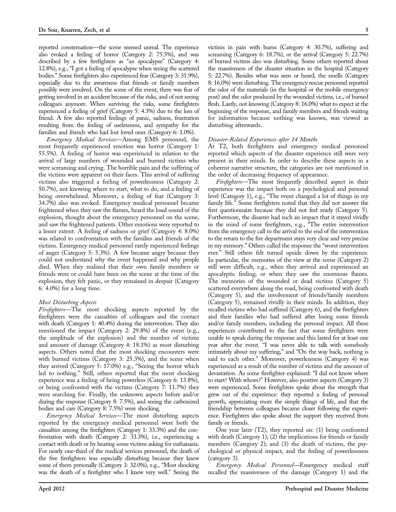reported consternation—the scene seemed unreal. The experience also evoked a feeling of horror (Category 2: 75.5%), and was described by a few firefighters as ''an apocalypse'' (Category 4: 12.8%), e.g., "I got a feeling of apocalypse when seeing the scattered bodies.'' Some firefighters also experienced fear (Category 3: 31.9%), especially due to the awareness that friends or family members possibly were involved. On the scene of the event, there was fear of getting involved in an accident because of the risks, and of not seeing colleagues anymore. When surviving the risks, some firefighters experienced a feeling of grief (Category 5: 4.3%) due to the loss of friend. A few also reported feelings of panic, sadness, frustration resulting from the feeling of uselessness, and sympathy for the families and friends who had lost loved ones (Category 6: 1.0%).

Emergency Medical Services—Among EMS personnel, the most frequently experienced emotion was horror (Category 1: 55.5%). A feeling of horror was experienced in relation to the arrival of large numbers of wounded and burned victims who were screaming and crying. The horrible pain and the suffering of the victims were apparent on their faces. This arrival of suffering victims also triggered a feeling of powerlessness (Category 2: 50.7%), not knowing where to start, what to do, and a feeling of being overwhelmed. Moreover, a feeling of fear (Category 3: 34.7%) also was evoked. Emergency medical personnel became frightened when they saw the flames, heard the loud sound of the explosion, thought about the emergency personnel on the scene, and saw the frightened patients. Other emotions were reported to a lesser extent. A feeling of sadness or grief (Category 4: 8.0%) was related to confrontation with the families and friends of the victims. Emergency medical personnel rarely experienced feelings of anger (Category 5: 5.3%). A few became angry because they could not understand why the event happened and why people died. When they realized that their own family members or friends were or could have been on the scene at the time of the explosion, they felt panic, or they remained in despair (Category 6: 4.0%) for a long time.

## Most Disturbing Aspects

Firefighters—The most shocking aspects reported by the firefighters were the casualties of colleagues and the contact with death (Category 1: 40.4%) during the intervention. They also mentioned the impact (Category 2: 29.8%) of the event (e.g., the amplitude of the explosion) and the number of victims and amount of damage (Category 4: 18.1%) as most disturbing aspects. Others noted that the most shocking encounters were with burned victims (Category 3: 25.3%), and the scene when they arrived (Category 5: 17.0%) e.g., ''Seeing the horror which led to nothing.'' Still, others reported that the most shocking experience was a feeling of being powerless (Category 6: 13.8%), or being confronted with the victims (Category 7: 11.7%) they were searching for. Finally, the unknown aspects before and/or during the response (Category 8: 7.5%), and seeing the carbonized bodies and cars (Category 8: 7.5%) were shocking.

Emergency Medical Services—The most disturbing aspects reported by the emergency medical personnel were both the casualties among the firefighters (Category 1: 33.3%) and the confrontation with death (Category 2: 33.3%), i.e., experiencing a contact with death or by hearing some victims asking for euthanasia. For nearly one-third of the medical services personnel, the death of the five firefighters was especially disturbing because they knew some of them personally (Category 3: 32.0%), e.g., ''Most shocking was the death of a firefighter who I knew very well.'' Seeing the

victims in pain with burns (Category 4: 30.7%), suffering and screaming (Category 6: 18.7%), or the arrival (Category 5: 22.7%) of burned victims also was disturbing. Some others reported about the massiveness of the disaster situation in the hospital (Category 5: 22.7%). Besides what was seen or heard, the smells (Category 8: 16.0%) were disturbing. The emergency rescue personnel reported the odor of the materials (in the hospital or the mobile emergency post) and the odor produced by the wounded victims, i.e., of burned flesh. Lastly, not knowing (Category 8: 16.0%) what to expect at the beginning of the response, and family members and friends waiting for information because nothing was known, was viewed as disturbing afterwards.

#### Disaster-Related Experiences after 14 Months

At T2, both firefighters and emergency medical personnel reported which aspects of the disaster experience still were very present in their minds. In order to describe these aspects in a coherent narrative structure, the categories are not mentioned in the order of decreasing frequency of appearance.

Firefighters-The most frequently described aspect in their experience was the impact both on a psychological and personal level (Category 1), e.g., ''The event changed a lot of things in my family life.'' Some firefighters noted that they did not answer the first questionnaire because they did not feel ready (Category 5). Furthermore, the disaster had such an impact that it stayed vividly in the mind of some firefighters, e.g., "The entire intervention from the emergency call to the arrival to the end of the intervention to the return to the fire department stays very clear and very precise in my memory.'' Others called the response the ''worst intervention ever.'' Still others felt turned upside down by the experience. In particular, the memories of the view at the scene (Category 2) still were difficult, e.g., when they arrived and experienced an apocalyptic feeling; or when they saw the enormous flames. The memories of the wounded or dead victims (Category 5) scattered everywhere along the road, being confronted with death (Category 5), and the involvement of friends/family members (Category 5), remained vividly in their minds. In addition, they recalled victims who had suffered (Category 6), and the firefighters and their families who had suffered after losing some friends and/or family members, including the personal impact. All these experiences contributed to the fact that some firefighters were unable to speak during the response and this lasted for at least one year after the event. "I was never able to talk with somebody intimately about my suffering," and "On the way back, nothing is said to each other.'' Moreover, powerlessness (Category 4) was experienced as a result of the number of victims and the amount of devastation. As some firefighter explained: ''I did not know where to start? With whom?'' However, also positive aspects (Category 3) were experienced. Some firefighters spoke about the strength that grew out of the experience: they reported a feeling of personal growth, appreciating more the simple things of life, and that the friendship between colleagues became closer following the experience. Firefighters also spoke about the support they received from family or friends.

One year later (T2), they reported on: (1) being confronted with death (Category 1); (2) the implications for friends or family members (Category 2); and (3) the death of victims, the psychological or physical impact, and the feeling of powerlessness (category 3).

Emergency Medical Personnel—Emergency medical staff recalled the massiveness of the damage (Category 1) and the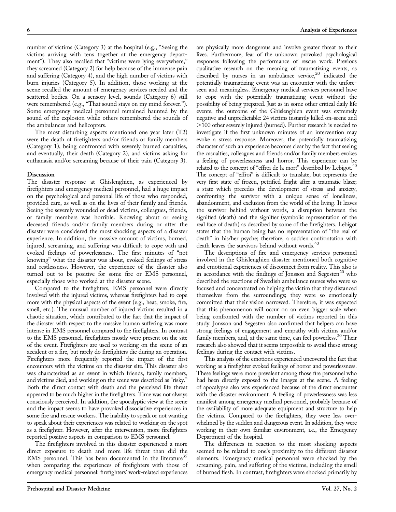number of victims (Category 3) at the hospital (e.g., "Seeing the victims arriving with tens together at the emergency department"). They also recalled that "victims were lying everywhere," they screamed (Category 2) for help because of the immense pain and suffering (Category 4), and the high number of victims with burn injuries (Category 5). In addition, those working at the scene recalled the amount of emergency services needed and the scattered bodies. On a sensory level, sounds (Category 6) still were remembered (e.g., "That sound stays on my mind forever."). Some emergency medical personnel remained haunted by the sound of the explosion while others remembered the sounds of the ambulances and helicopters.

The most disturbing aspects mentioned one year later (T2) were the death of firefighters and/or friends or family members (Category 1), being confronted with severely burned casualties, and eventually, their death (Category 2), and victims asking for euthanasia and/or screaming because of their pain (Category 3).

#### **Discussion**

The disaster response at Ghislenghien, as experienced by firefighters and emergency medical personnel, had a huge impact on the psychological and personal life of those who responded, provided care, as well as on the lives of their family and friends. Seeing the severely wounded or dead victims, colleagues, friends, or family members was horrible. Knowing about or seeing deceased friends and/or family members during or after the disaster were considered the most shocking aspects of a disaster experience. In addition, the massive amount of victims, burned, injured, screaming, and suffering was difficult to cope with and evoked feelings of powerlessness. The first minutes of ''not knowing'' what the disaster was about, evoked feelings of stress and restlessness. However, the experience of the disaster also turned out to be positive for some fire or EMS personnel, especially those who worked at the disaster scene.

Compared to the firefighters, EMS personnel were directly involved with the injured victims, whereas firefighters had to cope more with the physical aspects of the event (e.g., heat, smoke, fire, smell, etc.). The unusual number of injured victims resulted in a chaotic situation, which contributed to the fact that the impact of the disaster with respect to the massive human suffering was more intense in EMS personnel compared to the firefighters. In contrast to the EMS personnel, firefighters mostly were present on the site of the event. Firefighters are used to working on the scene of an accident or a fire, but rarely do firefighters die during an operation. Firefighters more frequently reported the impact of the first encounters with the victims on the disaster site. This disaster also was characterized as an event in which friends, family members, and victims died, and working on the scene was described as "risky." Both the direct contact with death and the perceived life threat appeared to be much higher in the firefighters. Time was not always consciously perceived. In addition, the apocalyptic view at the scene and the impact seems to have provoked dissociative experiences in some fire and rescue workers. The inability to speak or not wanting to speak about their experiences was related to working on the spot as a firefighter. However, after the intervention, more firefighters reported positive aspects in comparison to EMS personnel.

The firefighters involved in this disaster experienced a more direct exposure to death and more life threat than did the EMS personnel. This has been documented in the literature<sup>35</sup> when comparing the experiences of firefighters with those of emergency medical personnel: firefighters' work-related experiences

are physically more dangerous and involve greater threat to their lives. Furthermore, fear of the unknown provoked psychological responses following the performance of rescue work. Previous qualitative research on the meaning of traumatizing events, as described by nurses in an ambulance service,<sup>20</sup> indicated the potentially traumatizing event was an encounter with the unforeseen and meaningless. Emergency medical services personnel have to cope with the potentially traumatizing event without the possibility of being prepared. Just as in some other critical daily life events, the outcome of the Ghislenghien event was extremely negative and unpredictable: 24 victims instantly killed on-scene and .100 other severely injured (burned). Further research is needed to investigate if the first unknown minutes of an intervention may evoke a stress response. Moreover, the potentially traumatizing character of such an experience becomes clear by the fact that seeing the casualties, colleagues and friends and/or family members evokes a feeling of powerlessness and horror. This experience can be related to the concept of "effroi de la mort" described by Lebigot.<sup>40</sup> The concept of "effroi" is difficult to translate, but represents the very first state of frozen, petrified fright after a traumatic blaze; a state which precedes the development of stress and anxiety, confronting the survivor with a unique sense of loneliness, abandonment, and exclusion from the world of the living. It leaves the survivor behind without words, a disruption between the signified (death) and the signifier (symbolic representation of the real face of death) as described by some of the firefighters. Lebigot states that the human being has no representation of ''the real of death'' in his/her psyche; therefore, a sudden confrontation with death leaves the survivors behind without words.<sup>40</sup>

The descriptions of fire and emergency services personnel involved in the Ghislenghien disaster mentioned both cognitive and emotional experiences of disconnect from reality. This also is in accordance with the findings of Jonsson and Segesten<sup>20</sup> who described the reactions of Swedish ambulance nurses who were so focused and concentrated on helping the victim that they distanced themselves from the surroundings; they were so emotionally committed that their vision narrowed. Therefore, it was expected that this phenomenon will occur on an even bigger scale when being confronted with the number of victims reported in this study. Jonsson and Segesten also confirmed that helpers can have strong feelings of engagement and empathy with victims and/or family members, and, at the same time, can feel powerless.<sup>20</sup> Their research also showed that it seems impossible to avoid these strong feelings during the contact with victims.

This analysis of the emotions experienced uncovered the fact that working as a firefighter evoked feelings of horror and powerlessness. These feelings were more prevalent among those fire personnel who had been directly exposed to the images at the scene. A feeling of apocalypse also was experienced because of the direct encounter with the disaster environment. A feeling of powerlessness was less manifest among emergency medical personnel, probably because of the availability of more adequate equipment and structure to help the victims. Compared to the firefighters, they were less overwhelmed by the sudden and dangerous event. In addition, they were working in their own familiar environment, i.e., the Emergency Department of the hospital.

The differences in reaction to the most shocking aspects seemed to be related to one's proximity to the different disaster elements. Emergency medical personnel were shocked by the screaming, pain, and suffering of the victims, including the smell of burned flesh. In contrast, firefighters were shocked primarily by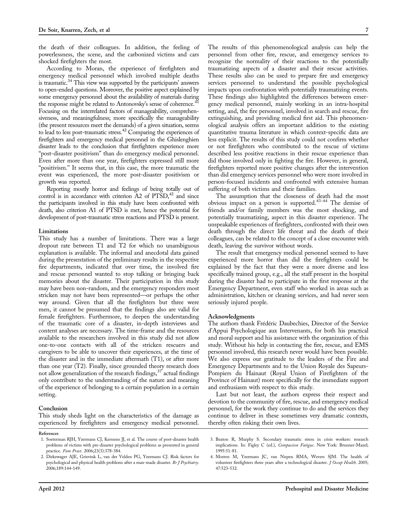the death of their colleagues. In addition, the feeling of powerlessness, the scene, and the carbonized victims and cars shocked firefighters the most.

According to Moran, the experience of firefighters and emergency medical personnel which involved multiple deaths is traumatic.<sup>34</sup> This view was supported by the participants' answers to open-ended questions. Moreover, the positive aspect explained by some emergency personnel about the availability of materials during the response might be related to Antonovsky's sense of coherence.<sup>41</sup> Focusing on the interrelated factors of manageability, comprehensiveness, and meaningfulness; more specifically the manageability (the present resources meet the demands) of a given situation, seems to lead to less post-traumatic stress.<sup>42</sup> Comparing the experiences of firefighters and emergency medical personnel in the Ghislenghien disaster leads to the conclusion that firefighters experience more "post-disaster positivism" than do emergency medical personnel. Even after more than one year, firefighters expressed still more "positivism." It seems that, in this case, the more traumatic the event was experienced, the more post-disaster positivism or growth was reported.

Reporting mostly horror and feelings of being totally out of control is in accordance with criterion  $A2$  of  $PTSD<sup>42</sup>$  and since the participants involved in this study have been confronted with death, also criterion A1 of PTSD is met, hence the potential for development of post-traumatic stress reactions and PTSD is present.

#### Limitations

This study has a number of limitations. There was a large dropout rate between T1 and T2 for which no unambiguous explanation is available. The informal and anecdotal data gained during the presentation of the preliminary results in the respective fire departments, indicated that over time, the involved fire and rescue personnel wanted to stop talking or bringing back memories about the disaster. Their participation in this study may have been non-random, and the emergency responders most stricken may not have been represented—or perhaps the other way around. Given that all the firefighters but three were men, it cannot be presumed that the findings also are valid for female firefighters. Furthermore, to deepen the understanding of the traumatic core of a disaster, in-depth interviews and content analyses are necessary. The time-frame and the resources available to the researchers involved in this study did not allow one-to-one contacts with all of the stricken rescuers and caregivers to be able to uncover their experiences, at the time of the disaster and in the immediate aftermath (T1), or after more than one year (T2). Finally, since grounded theory research does not allow generalization of the research findings,  $37$  actual findings only contribute to the understanding of the nature and meaning of the experience of belonging to a certain population in a certain setting.

#### Conclusion

This study sheds light on the characteristics of the damage as experienced by firefighters and emergency medical personnel. The results of this phenomenological analysis can help the personnel from other fire, rescue, and emergency services to recognize the normality of their reactions to the potentially traumatizing aspects of a disaster and their rescue activities. These results also can be used to prepare fire and emergency services personnel to understand the possible psychological impacts upon confrontation with potentially traumatizing events. These findings also highlighted the differences between emergency medical personnel, mainly working in an intra-hospital setting, and, the fire personnel, involved in search and rescue, fire extinguishing, and providing medical first aid. This phenomenological analysis offers an important addition to the existing quantitative trauma literature in which context-specific data are less explicit. The results of this study could not confirm whether or not firefighters who contributed to the rescue of victims described less positive reactions in their rescue experience than did those involved only in fighting the fire. However, in general, firefighters reported more positive changes after the intervention than did emergency services personnel who were more involved in person-focused incidents and confronted with extensive human suffering of both victims and their families.

The assumption that the closeness of death had the most obvious impact on a person is supported.43-44 The demise of friends and/or family members was the most shocking, and potentially traumatizing, aspect in this disaster experience. The unspeakable experiences of firefighters, confronted with their own death through the direct life threat and the death of their colleagues, can be related to the concept of a close encounter with death, leaving the survivor without words.

The result that emergency medical personnel seemed to have experienced more horror than did the firefighters could be explained by the fact that they were a more diverse and less specifically trained group, e.g., all the staff present in the hospital during the disaster had to participate in the first response at the Emergency Department, even staff who worked in areas such as administration, kitchen or cleaning services, and had never seen seriously injured people.

#### Acknowledgments

The authors thank Frédéric Daubechies, Director of the Service d'Appui Psychologique aux Intervenants, for both his practical and moral support and his assistance with the organization of this study. Without his help in contacting the fire, rescue, and EMS personnel involved, this research never would have been possible. We also express our gratitude to the leaders of the Fire and Emergency Departments and to the Union Royale des Sapeurs-Pompiers du Hainaut (Royal Union of Firefighters of the Province of Hainaut) more specifically for the immediate support and enthusiasm with respect to this study.

Last but not least, the authors express their respect and devotion to the community of fire, rescue, and emergency medical personnel, for the work they continue to do and the services they continue to deliver in these sometimes very dramatic contexts, thereby often risking their own lives.

References

<sup>1.</sup> Soeterman RJH, Yzermans CJ, Kerssens JJ, et al. The course of post-disaster health problems of victims with pre-disaster psychological problems as presented in general .<br>practice. Fam Pract. 2006;23(3):378-384.

<sup>2.</sup> Dirkzwager AJE, Grievink L, van der Velden PG, Yzermans CJ. Risk factors for psychological and physical health problems after a man-made disaster. Br J Psychiatry. 2006;189:144-149.

<sup>3.</sup> Beaton R, Murphy S. Secondary traumatic stress in crisis workers: research implications. In: Figley C (ed.), Compassion Fatigue. New York: Brunner-Mazel; 1995:51-81.

<sup>4.</sup> Morren M, Yzermans JC, van Nispen RMA, Wevers SJM. The health of volunteer firefighters three years after a technological disaster. J Occup Health. 2005; 47:523-532.